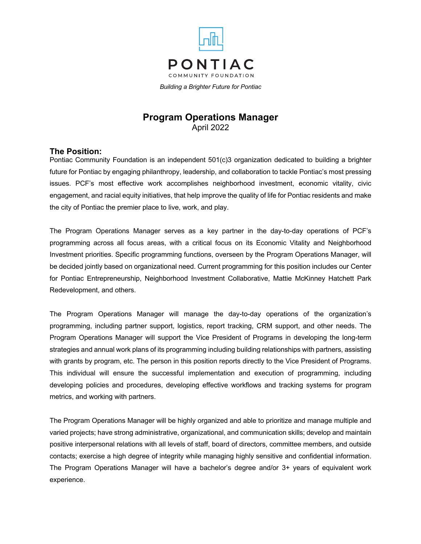

*Building a Brighter Future for Pontiac*

# **Program Operations Manager** April 2022

### **The Position:**

Pontiac Community Foundation is an independent 501(c)3 organization dedicated to building a brighter future for Pontiac by engaging philanthropy, leadership, and collaboration to tackle Pontiac's most pressing issues. PCF's most effective work accomplishes neighborhood investment, economic vitality, civic engagement, and racial equity initiatives, that help improve the quality of life for Pontiac residents and make the city of Pontiac the premier place to live, work, and play.

The Program Operations Manager serves as a key partner in the day-to-day operations of PCF's programming across all focus areas, with a critical focus on its Economic Vitality and Neighborhood Investment priorities. Specific programming functions, overseen by the Program Operations Manager, will be decided jointly based on organizational need. Current programming for this position includes our Center for Pontiac Entrepreneurship, Neighborhood Investment Collaborative, Mattie McKinney Hatchett Park Redevelopment, and others.

The Program Operations Manager will manage the day-to-day operations of the organization's programming, including partner support, logistics, report tracking, CRM support, and other needs. The Program Operations Manager will support the Vice President of Programs in developing the long-term strategies and annual work plans of its programming including building relationships with partners, assisting with grants by program, etc. The person in this position reports directly to the Vice President of Programs. This individual will ensure the successful implementation and execution of programming, including developing policies and procedures, developing effective workflows and tracking systems for program metrics, and working with partners.

The Program Operations Manager will be highly organized and able to prioritize and manage multiple and varied projects; have strong administrative, organizational, and communication skills; develop and maintain positive interpersonal relations with all levels of staff, board of directors, committee members, and outside contacts; exercise a high degree of integrity while managing highly sensitive and confidential information. The Program Operations Manager will have a bachelor's degree and/or 3+ years of equivalent work experience.